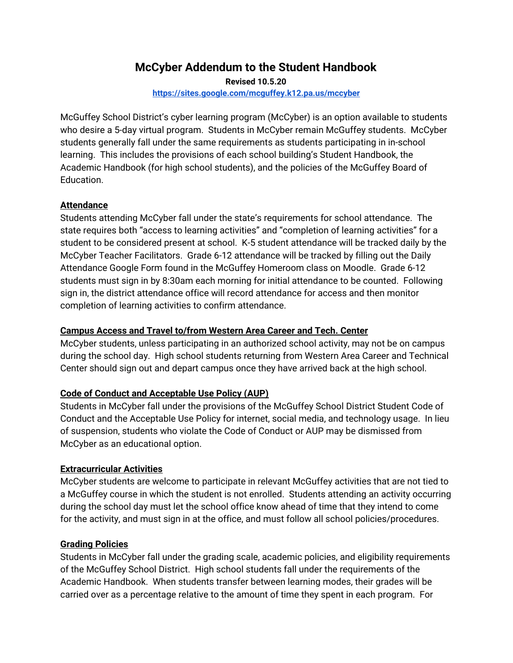# **McCyber Addendum to the Student Handbook**

**Revised 10.5.20 <https://sites.google.com/mcguffey.k12.pa.us/mccyber>**

McGuffey School District's cyber learning program (McCyber) is an option available to students who desire a 5-day virtual program. Students in McCyber remain McGuffey students. McCyber students generally fall under the same requirements as students participating in in-school learning. This includes the provisions of each school building's Student Handbook, the Academic Handbook (for high school students), and the policies of the McGuffey Board of Education.

## **Attendance**

Students attending McCyber fall under the state's requirements for school attendance. The state requires both "access to learning activities" and "completion of learning activities" for a student to be considered present at school. K-5 student attendance will be tracked daily by the McCyber Teacher Facilitators. Grade 6-12 attendance will be tracked by filling out the Daily Attendance Google Form found in the McGuffey Homeroom class on Moodle. Grade 6-12 students must sign in by 8:30am each morning for initial attendance to be counted. Following sign in, the district attendance office will record attendance for access and then monitor completion of learning activities to confirm attendance.

### **Campus Access and Travel to/from Western Area Career and Tech. Center**

McCyber students, unless participating in an authorized school activity, may not be on campus during the school day. High school students returning from Western Area Career and Technical Center should sign out and depart campus once they have arrived back at the high school.

#### **Code of Conduct and Acceptable Use Policy (AUP)**

Students in McCyber fall under the provisions of the McGuffey School District Student Code of Conduct and the Acceptable Use Policy for internet, social media, and technology usage. In lieu of suspension, students who violate the Code of Conduct or AUP may be dismissed from McCyber as an educational option.

#### **Extracurricular Activities**

McCyber students are welcome to participate in relevant McGuffey activities that are not tied to a McGuffey course in which the student is not enrolled. Students attending an activity occurring during the school day must let the school office know ahead of time that they intend to come for the activity, and must sign in at the office, and must follow all school policies/procedures.

#### **Grading Policies**

Students in McCyber fall under the grading scale, academic policies, and eligibility requirements of the McGuffey School District. High school students fall under the requirements of the Academic Handbook. When students transfer between learning modes, their grades will be carried over as a percentage relative to the amount of time they spent in each program. For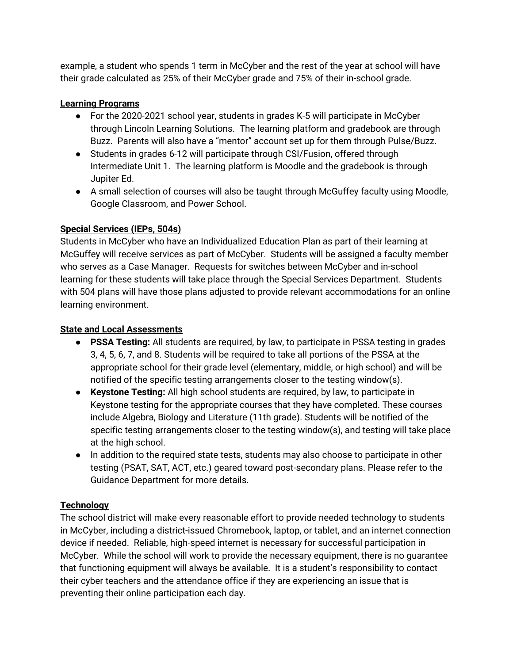example, a student who spends 1 term in McCyber and the rest of the year at school will have their grade calculated as 25% of their McCyber grade and 75% of their in-school grade.

# **Learning Programs**

- For the 2020-2021 school year, students in grades K-5 will participate in McCyber through Lincoln Learning Solutions. The learning platform and gradebook are through Buzz. Parents will also have a "mentor" account set up for them through Pulse/Buzz.
- Students in grades 6-12 will participate through CSI/Fusion, offered through Intermediate Unit 1. The learning platform is Moodle and the gradebook is through Jupiter Ed.
- A small selection of courses will also be taught through McGuffey faculty using Moodle, Google Classroom, and Power School.

## **Special Services (IEPs, 504s)**

Students in McCyber who have an Individualized Education Plan as part of their learning at McGuffey will receive services as part of McCyber. Students will be assigned a faculty member who serves as a Case Manager. Requests for switches between McCyber and in-school learning for these students will take place through the Special Services Department. Students with 504 plans will have those plans adjusted to provide relevant accommodations for an online learning environment.

# **State and Local Assessments**

- **PSSA Testing:** All students are required, by law, to participate in PSSA testing in grades 3, 4, 5, 6, 7, and 8. Students will be required to take all portions of the PSSA at the appropriate school for their grade level (elementary, middle, or high school) and will be notified of the specific testing arrangements closer to the testing window(s).
- **Keystone Testing:** All high school students are required, by law, to participate in Keystone testing for the appropriate courses that they have completed. These courses include Algebra, Biology and Literature (11th grade). Students will be notified of the specific testing arrangements closer to the testing window(s), and testing will take place at the high school.
- In addition to the required state tests, students may also choose to participate in other testing (PSAT, SAT, ACT, etc.) geared toward post-secondary plans. Please refer to the Guidance Department for more details.

# **Technology**

The school district will make every reasonable effort to provide needed technology to students in McCyber, including a district-issued Chromebook, laptop, or tablet, and an internet connection device if needed. Reliable, high-speed internet is necessary for successful participation in McCyber. While the school will work to provide the necessary equipment, there is no guarantee that functioning equipment will always be available. It is a student's responsibility to contact their cyber teachers and the attendance office if they are experiencing an issue that is preventing their online participation each day.